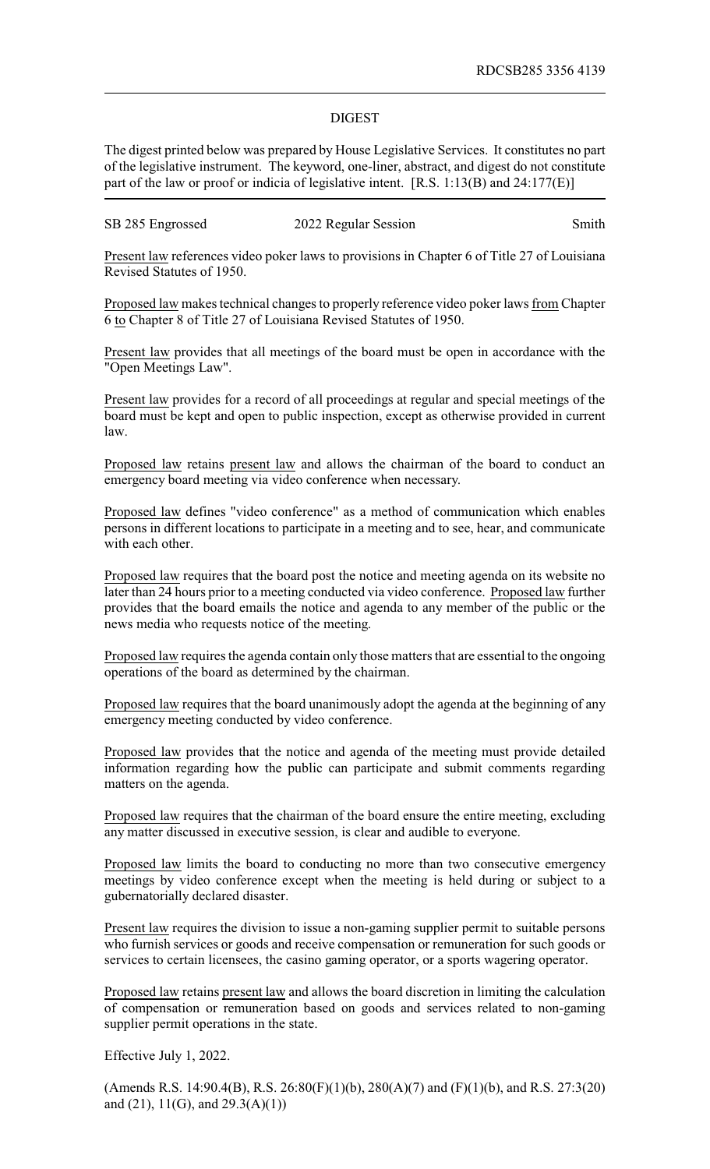## DIGEST

The digest printed below was prepared by House Legislative Services. It constitutes no part of the legislative instrument. The keyword, one-liner, abstract, and digest do not constitute part of the law or proof or indicia of legislative intent. [R.S. 1:13(B) and 24:177(E)]

SB 285 Engrossed 2022 Regular Session Smith

Present law references video poker laws to provisions in Chapter 6 of Title 27 of Louisiana Revised Statutes of 1950.

Proposed law makes technical changes to properly reference video poker laws from Chapter 6 to Chapter 8 of Title 27 of Louisiana Revised Statutes of 1950.

Present law provides that all meetings of the board must be open in accordance with the "Open Meetings Law".

Present law provides for a record of all proceedings at regular and special meetings of the board must be kept and open to public inspection, except as otherwise provided in current law.

Proposed law retains present law and allows the chairman of the board to conduct an emergency board meeting via video conference when necessary.

Proposed law defines "video conference" as a method of communication which enables persons in different locations to participate in a meeting and to see, hear, and communicate with each other.

Proposed law requires that the board post the notice and meeting agenda on its website no later than 24 hours prior to a meeting conducted via video conference. Proposed law further provides that the board emails the notice and agenda to any member of the public or the news media who requests notice of the meeting.

Proposed law requires the agenda contain only those matters that are essential to the ongoing operations of the board as determined by the chairman.

Proposed law requires that the board unanimously adopt the agenda at the beginning of any emergency meeting conducted by video conference.

Proposed law provides that the notice and agenda of the meeting must provide detailed information regarding how the public can participate and submit comments regarding matters on the agenda.

Proposed law requires that the chairman of the board ensure the entire meeting, excluding any matter discussed in executive session, is clear and audible to everyone.

Proposed law limits the board to conducting no more than two consecutive emergency meetings by video conference except when the meeting is held during or subject to a gubernatorially declared disaster.

Present law requires the division to issue a non-gaming supplier permit to suitable persons who furnish services or goods and receive compensation or remuneration for such goods or services to certain licensees, the casino gaming operator, or a sports wagering operator.

Proposed law retains present law and allows the board discretion in limiting the calculation of compensation or remuneration based on goods and services related to non-gaming supplier permit operations in the state.

Effective July 1, 2022.

(Amends R.S. 14:90.4(B), R.S.  $26:80(F)(1)(b)$ ,  $280(A)(7)$  and  $(F)(1)(b)$ , and R.S. 27:3(20) and  $(21)$ ,  $11(G)$ , and  $29.3(A)(1)$